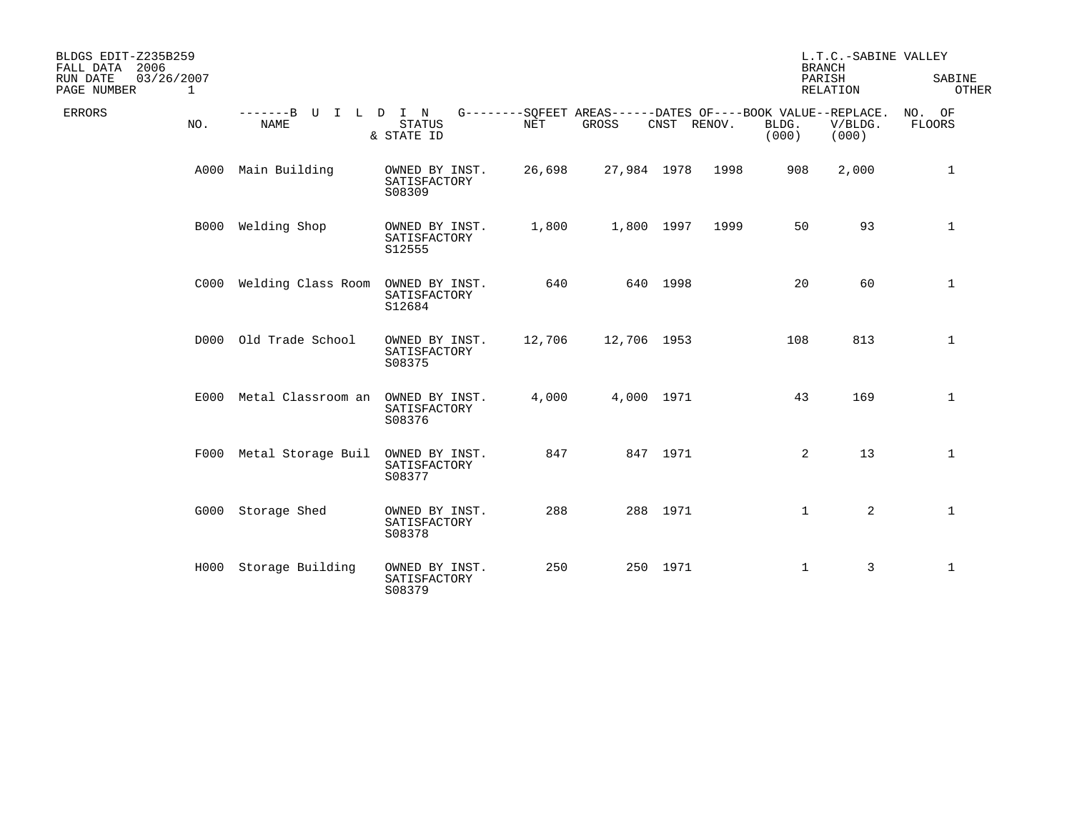| BLDGS EDIT-Z235B259<br>2006<br>FALL DATA<br>03/26/2007<br>RUN DATE<br>PAGE NUMBER | 1    |                                                |                                          |                      |                                                                      | L.T.C.-SABINE VALLEY<br><b>BRANCH</b><br>PARISH<br>RELATION |      | SABINE<br>OTHER |                  |                  |
|-----------------------------------------------------------------------------------|------|------------------------------------------------|------------------------------------------|----------------------|----------------------------------------------------------------------|-------------------------------------------------------------|------|-----------------|------------------|------------------|
| <b>ERRORS</b>                                                                     | NO.  | -------B U<br>L<br>$\mathbf{I}$<br><b>NAME</b> | D I N<br><b>STATUS</b><br>& STATE ID     | $\operatorname{NET}$ | G--------SQFEET AREAS------DATES OF----BOOK VALUE--REPLACE.<br>GROSS | CNST RENOV.                                                 |      | BLDG.<br>(000)  | V/BLDG.<br>(000) | NO. OF<br>FLOORS |
|                                                                                   | A000 | Main Building                                  | OWNED BY INST.<br>SATISFACTORY<br>S08309 | 26,698               | 27,984 1978                                                          |                                                             | 1998 | 908             | 2,000            | 1                |
|                                                                                   |      | B000 Welding Shop                              | OWNED BY INST.<br>SATISFACTORY<br>S12555 | 1,800                |                                                                      | 1,800 1997                                                  | 1999 | 50              | 93               | $\mathbf{1}$     |
|                                                                                   |      | C000 Welding Class Room                        | OWNED BY INST.<br>SATISFACTORY<br>S12684 | 640                  |                                                                      | 640 1998                                                    |      | 20              | 60               | 1                |
|                                                                                   |      | D000 Old Trade School                          | OWNED BY INST.<br>SATISFACTORY<br>S08375 | 12,706               | 12,706 1953                                                          |                                                             |      | 108             | 813              | $\mathbf{1}$     |
|                                                                                   |      | E000 Metal Classroom an                        | OWNED BY INST.<br>SATISFACTORY<br>S08376 | 4,000                |                                                                      | 4,000 1971                                                  |      | 43              | 169              | 1                |
|                                                                                   |      | F000 Metal Storage Buil                        | OWNED BY INST.<br>SATISFACTORY<br>S08377 | 847                  |                                                                      | 847 1971                                                    |      | 2               | 13               | $\mathbf 1$      |
|                                                                                   |      | G000 Storage Shed                              | OWNED BY INST.<br>SATISFACTORY<br>S08378 | 288                  |                                                                      | 288 1971                                                    |      | $\mathbf{1}$    | $\overline{2}$   | $\mathbf{1}$     |
|                                                                                   |      | H000 Storage Building                          | OWNED BY INST.<br>SATISFACTORY<br>S08379 | 250                  |                                                                      | 250 1971                                                    |      | $\mathbf{1}$    | $\overline{3}$   | 1                |